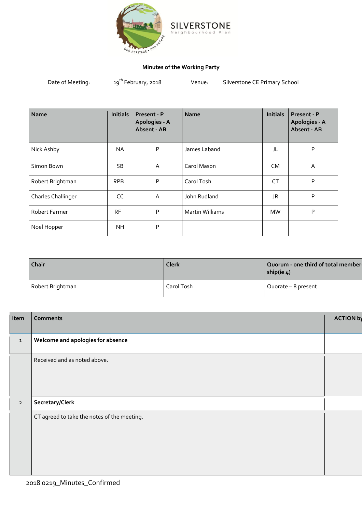

## **Minutes of the Working Party**

| Date of Meeting: | 19 <sup>th</sup> February, 2018 | Venue: | Silverstone CE Primary School |
|------------------|---------------------------------|--------|-------------------------------|
|------------------|---------------------------------|--------|-------------------------------|

| <b>Name</b>               | <b>Initials</b> | Present - P<br>Apologies - A<br>Absent - AB | <b>Name</b>            | <b>Initials</b> | Present - P<br>Apologies - A<br>Absent - AB |
|---------------------------|-----------------|---------------------------------------------|------------------------|-----------------|---------------------------------------------|
| Nick Ashby                | NA              | P                                           | James Laband           | JL              | P                                           |
| Simon Bown                | SB.             | A                                           | Carol Mason            | CM.             | A                                           |
| Robert Brightman          | <b>RPB</b>      | P                                           | Carol Tosh             | CT              | P                                           |
| <b>Charles Challinger</b> | CC              | A                                           | John Rudland           | JR              | P                                           |
| <b>Robert Farmer</b>      | <b>RF</b>       | P                                           | <b>Martin Williams</b> | <b>MW</b>       | P                                           |
| Noel Hopper               | <b>NH</b>       | P                                           |                        |                 |                                             |

| Chair            | Clerk      | Quorum - one third of total member-<br>ship(ie $4$ ) |
|------------------|------------|------------------------------------------------------|
| Robert Brightman | Carol Tosh | Quorate - 8 present                                  |

| Item           | <b>Comments</b>                             | <b>ACTION by</b> |
|----------------|---------------------------------------------|------------------|
|                |                                             |                  |
| $\mathbf{1}$   | Welcome and apologies for absence           |                  |
|                | Received and as noted above.                |                  |
|                |                                             |                  |
| $\overline{2}$ | Secretary/Clerk                             |                  |
|                | CT agreed to take the notes of the meeting. |                  |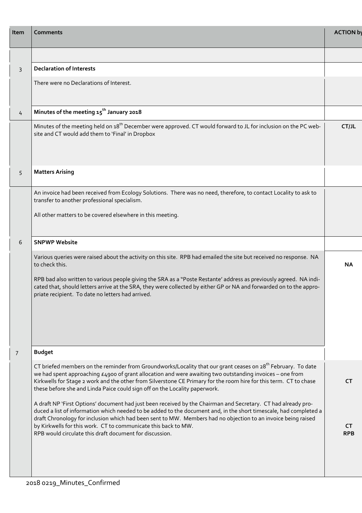| Item           | Comments                                                                                                                                                                                                                                                                                                                                                                                                                                                                         | <b>ACTION by</b>        |
|----------------|----------------------------------------------------------------------------------------------------------------------------------------------------------------------------------------------------------------------------------------------------------------------------------------------------------------------------------------------------------------------------------------------------------------------------------------------------------------------------------|-------------------------|
|                |                                                                                                                                                                                                                                                                                                                                                                                                                                                                                  |                         |
| 3              | <b>Declaration of Interests</b>                                                                                                                                                                                                                                                                                                                                                                                                                                                  |                         |
|                | There were no Declarations of Interest.                                                                                                                                                                                                                                                                                                                                                                                                                                          |                         |
| 4              | Minutes of the meeting 15 <sup>th</sup> January 2018                                                                                                                                                                                                                                                                                                                                                                                                                             |                         |
|                | Minutes of the meeting held on 18 <sup>th</sup> December were approved. CT would forward to JL for inclusion on the PC web-<br>site and CT would add them to 'Final' in Dropbox                                                                                                                                                                                                                                                                                                  | CTJL                    |
| 5              | <b>Matters Arising</b>                                                                                                                                                                                                                                                                                                                                                                                                                                                           |                         |
|                | An invoice had been received from Ecology Solutions. There was no need, therefore, to contact Locality to ask to<br>transfer to another professional specialism.                                                                                                                                                                                                                                                                                                                 |                         |
|                | All other matters to be covered elsewhere in this meeting.                                                                                                                                                                                                                                                                                                                                                                                                                       |                         |
| 6              | <b>SNPWP Website</b>                                                                                                                                                                                                                                                                                                                                                                                                                                                             |                         |
|                | Various queries were raised about the activity on this site. RPB had emailed the site but received no response. NA<br>to check this.<br>RPB bad also written to various people giving the SRA as a "Poste Restante' address as previously agreed. NA indi-<br>cated that, should letters arrive at the SRA, they were collected by either GP or NA and forwarded on to the appro-<br>priate recipient. To date no letters had arrived.                                           | NA.                     |
|                |                                                                                                                                                                                                                                                                                                                                                                                                                                                                                  |                         |
| $\overline{7}$ | <b>Budget</b>                                                                                                                                                                                                                                                                                                                                                                                                                                                                    |                         |
|                | CT briefed members on the reminder from Groundworks/Locality that our grant ceases on 28 <sup>th</sup> February. To date<br>we had spent approaching £4900 of grant allocation and were awaiting two outstanding invoices - one from<br>Kirkwells for Stage 2 work and the other from Silverstone CE Primary for the room hire for this term. CT to chase<br>these before she and Linda Paice could sign off on the Locality paperwork.                                          | CT.                     |
|                | A draft NP 'First Options' document had just been received by the Chairman and Secretary. CT had already pro-<br>duced a list of information which needed to be added to the document and, in the short timescale, had completed a<br>draft Chronology for inclusion which had been sent to MW. Members had no objection to an invoice being raised<br>by Kirkwells for this work. CT to communicate this back to MW.<br>RPB would circulate this draft document for discussion. | <b>CT</b><br><b>RPB</b> |
|                |                                                                                                                                                                                                                                                                                                                                                                                                                                                                                  |                         |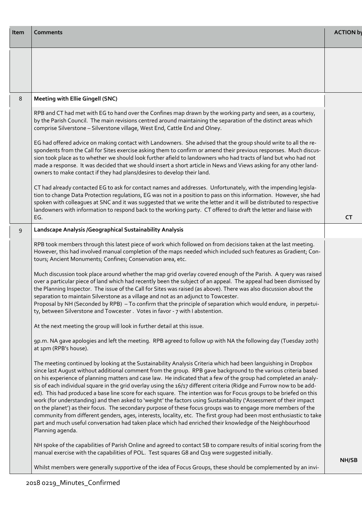| Item | <b>Comments</b>                                                                                                                                                                                                                                                                                                                                                                                                                                                                                                                                                                                                                                                                                                                                                                                                                                                                                                                                                                                                                                                                                    | <b>ACTION by</b> |
|------|----------------------------------------------------------------------------------------------------------------------------------------------------------------------------------------------------------------------------------------------------------------------------------------------------------------------------------------------------------------------------------------------------------------------------------------------------------------------------------------------------------------------------------------------------------------------------------------------------------------------------------------------------------------------------------------------------------------------------------------------------------------------------------------------------------------------------------------------------------------------------------------------------------------------------------------------------------------------------------------------------------------------------------------------------------------------------------------------------|------------------|
|      |                                                                                                                                                                                                                                                                                                                                                                                                                                                                                                                                                                                                                                                                                                                                                                                                                                                                                                                                                                                                                                                                                                    |                  |
| 8    | <b>Meeting with Ellie Gingell (SNC)</b>                                                                                                                                                                                                                                                                                                                                                                                                                                                                                                                                                                                                                                                                                                                                                                                                                                                                                                                                                                                                                                                            |                  |
|      | RPB and CT had met with EG to hand over the Confines map drawn by the working party and seen, as a courtesy,<br>by the Parish Council. The main revisions centred around maintaining the separation of the distinct areas which<br>comprise Silverstone - Silverstone village, West End, Cattle End and Olney.                                                                                                                                                                                                                                                                                                                                                                                                                                                                                                                                                                                                                                                                                                                                                                                     |                  |
|      | EG had offered advice on making contact with Landowners. She advised that the group should write to all the re-<br>spondents from the Call for Sites exercise asking them to confirm or amend their previous responses. Much discus-<br>sion took place as to whether we should look further afield to landowners who had tracts of land but who had not<br>made a response. It was decided that we should insert a short article in News and Views asking for any other land-<br>owners to make contact if they had plans/desires to develop their land.                                                                                                                                                                                                                                                                                                                                                                                                                                                                                                                                          |                  |
|      | CT had already contacted EG to ask for contact names and addresses. Unfortunately, with the impending legisla-<br>tion to change Data Protection regulations, EG was not in a position to pass on this information. However, she had<br>spoken with colleagues at SNC and it was suggested that we write the letter and it will be distributed to respective<br>landowners with information to respond back to the working party. CT offered to draft the letter and liaise with<br>EG.                                                                                                                                                                                                                                                                                                                                                                                                                                                                                                                                                                                                            | <b>CT</b>        |
| 9    | Landscape Analysis / Geographical Sustainability Analysis                                                                                                                                                                                                                                                                                                                                                                                                                                                                                                                                                                                                                                                                                                                                                                                                                                                                                                                                                                                                                                          |                  |
|      | RPB took members through this latest piece of work which followed on from decisions taken at the last meeting.<br>However, this had involved manual completion of the maps needed which included such features as Gradient; Con-<br>tours; Ancient Monuments; Confines; Conservation area, etc.                                                                                                                                                                                                                                                                                                                                                                                                                                                                                                                                                                                                                                                                                                                                                                                                    |                  |
|      | Much discussion took place around whether the map grid overlay covered enough of the Parish. A query was raised<br>over a particular piece of land which had recently been the subject of an appeal. The appeal had been dismissed by<br>the Planning Inspector. The issue of the Call for Sites was raised (as above). There was also discussion about the<br>separation to maintain Silverstone as a village and not as an adjunct to Towcester.<br>Proposal by NH (Seconded by RPB) - To confirm that the principle of separation which would endure, in perpetui-<br>ty, between Silverstone and Towcester. Votes in favor - 7 with I abstention.                                                                                                                                                                                                                                                                                                                                                                                                                                              |                  |
|      | At the next meeting the group will look in further detail at this issue.                                                                                                                                                                                                                                                                                                                                                                                                                                                                                                                                                                                                                                                                                                                                                                                                                                                                                                                                                                                                                           |                  |
|      | 9p.m. NA gave apologies and left the meeting. RPB agreed to follow up with NA the following day (Tuesday 20th)<br>at 1pm (RPB's house).                                                                                                                                                                                                                                                                                                                                                                                                                                                                                                                                                                                                                                                                                                                                                                                                                                                                                                                                                            |                  |
|      | The meeting continued by looking at the Sustainability Analysis Criteria which had been languishing in Dropbox<br>since last August without additional comment from the group. RPB gave background to the various criteria based<br>on his experience of planning matters and case law. He indicated that a few of the group had completed an analy-<br>sis of each individual square in the grid overlay using the 16/17 different criteria (Ridge and Furrow now to be add-<br>ed). This had produced a base line score for each square. The intention was for Focus groups to be briefed on this<br>work (for understanding) and then asked to 'weight' the factors using Sustainability ('Assessment of their impact<br>on the planet') as their focus. The secondary purpose of these focus groups was to engage more members of the<br>community from different genders, ages, interests, locality, etc. The first group had been most enthusiastic to take<br>part and much useful conversation had taken place which had enriched their knowledge of the Neighbourhood<br>Planning agenda. |                  |
|      | NH spoke of the capabilities of Parish Online and agreed to contact SB to compare results of initial scoring from the<br>manual exercise with the capabilities of POL. Test squares G8 and Q19 were suggested initially.                                                                                                                                                                                                                                                                                                                                                                                                                                                                                                                                                                                                                                                                                                                                                                                                                                                                           |                  |
|      | Whilst members were generally supportive of the idea of Focus Groups, these should be complemented by an invi-                                                                                                                                                                                                                                                                                                                                                                                                                                                                                                                                                                                                                                                                                                                                                                                                                                                                                                                                                                                     | <b>NH/SB</b>     |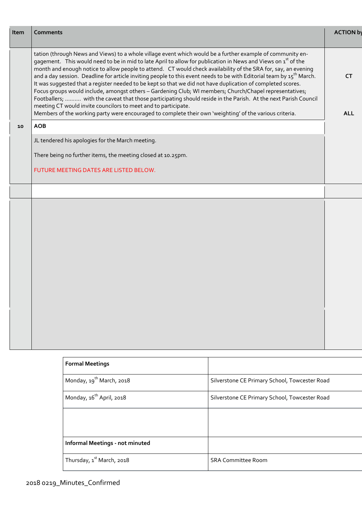| Item | <b>Comments</b>                                                                                                                                                                                                                                                                                                                                                                                                                                                                                                                                                                                                                                                                                                                                                                                                                                                                                                                                                                                                 | <b>ACTION by</b>        |
|------|-----------------------------------------------------------------------------------------------------------------------------------------------------------------------------------------------------------------------------------------------------------------------------------------------------------------------------------------------------------------------------------------------------------------------------------------------------------------------------------------------------------------------------------------------------------------------------------------------------------------------------------------------------------------------------------------------------------------------------------------------------------------------------------------------------------------------------------------------------------------------------------------------------------------------------------------------------------------------------------------------------------------|-------------------------|
|      | tation (through News and Views) to a whole village event which would be a further example of community en-<br>gagement. This would need to be in mid to late April to allow for publication in News and Views on 1 <sup>st</sup> of the<br>month and enough notice to allow people to attend. CT would check availability of the SRA for, say, an evening<br>and a day session. Deadline for article inviting people to this event needs to be with Editorial team by $15^{th}$ March.<br>It was suggested that a register needed to be kept so that we did not have duplication of completed scores.<br>Focus groups would include, amongst others - Gardening Club; WI members; Church/Chapel representatives;<br>Footballers;  with the caveat that those participating should reside in the Parish. At the next Parish Council<br>meeting CT would invite councilors to meet and to participate.<br>Members of the working party were encouraged to complete their own 'weighting' of the various criteria. | <b>CT</b><br><b>ALL</b> |
| 10   | <b>AOB</b>                                                                                                                                                                                                                                                                                                                                                                                                                                                                                                                                                                                                                                                                                                                                                                                                                                                                                                                                                                                                      |                         |
|      | JL tendered his apologies for the March meeting.                                                                                                                                                                                                                                                                                                                                                                                                                                                                                                                                                                                                                                                                                                                                                                                                                                                                                                                                                                |                         |
|      | There being no further items, the meeting closed at 10.25pm.                                                                                                                                                                                                                                                                                                                                                                                                                                                                                                                                                                                                                                                                                                                                                                                                                                                                                                                                                    |                         |
|      | FUTURE MEETING DATES ARE LISTED BELOW.                                                                                                                                                                                                                                                                                                                                                                                                                                                                                                                                                                                                                                                                                                                                                                                                                                                                                                                                                                          |                         |
|      |                                                                                                                                                                                                                                                                                                                                                                                                                                                                                                                                                                                                                                                                                                                                                                                                                                                                                                                                                                                                                 |                         |
|      |                                                                                                                                                                                                                                                                                                                                                                                                                                                                                                                                                                                                                                                                                                                                                                                                                                                                                                                                                                                                                 |                         |
|      |                                                                                                                                                                                                                                                                                                                                                                                                                                                                                                                                                                                                                                                                                                                                                                                                                                                                                                                                                                                                                 |                         |
|      |                                                                                                                                                                                                                                                                                                                                                                                                                                                                                                                                                                                                                                                                                                                                                                                                                                                                                                                                                                                                                 |                         |

| <b>Formal Meetings</b>                |                                               |
|---------------------------------------|-----------------------------------------------|
| Monday, 19 <sup>th</sup> March, 2018  | Silverstone CE Primary School, Towcester Road |
| Monday, 16 <sup>th</sup> April, 2018  | Silverstone CE Primary School, Towcester Road |
|                                       |                                               |
|                                       |                                               |
| Informal Meetings - not minuted       |                                               |
| Thursday, 1 <sup>st</sup> March, 2018 | <b>SRA Committee Room</b>                     |